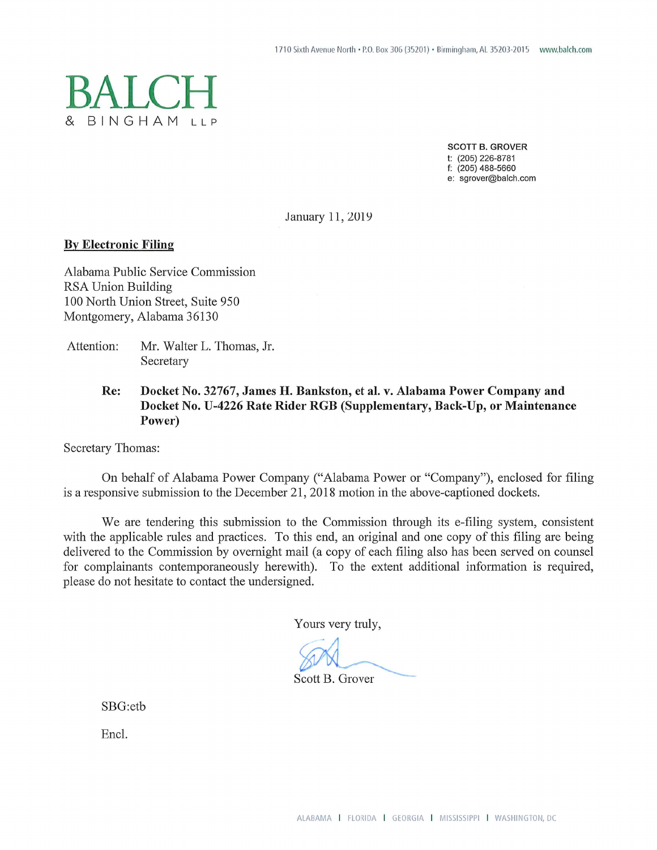

**SCOTT B. GROVER** t: (205) 226-8781  $f: (205)$  488-5660 e: sgrover@balch.com

January 11, 2019

## **By Electronic Filing**

Alabama Public Service Commission RSA Union Building 100 North Union Street, Suite 950 Montgomery, Alabama 36130

Attention: Mr. Walter L. Thomas, Jr. Secretary

> Re: Docket No. 32767, James H. Bankston, et al. v. Alabama Power Company and Docket No. U-4226 Rate Rider RGB (Supplementary, Back-Up, or Maintenance Power)

Secretary Thomas:

On behalf of Alabama Power Company ("Alabama Power or "Company"), enclosed for filing is a responsive submission to the December 21, 2018 motion in the above-captioned dockets.

We are tendering this submission to the Commission through its e-filing system, consistent with the applicable rules and practices. To this end, an original and one copy of this filing are being delivered to the Commission by overnight mail (a copy of each filing also has been served on counsel for complainants contemporaneously herewith). To the extent additional information is required, please do not hesitate to contact the undersigned.

Yours very truly,

Scott B. Grover

SBG:etb

Encl.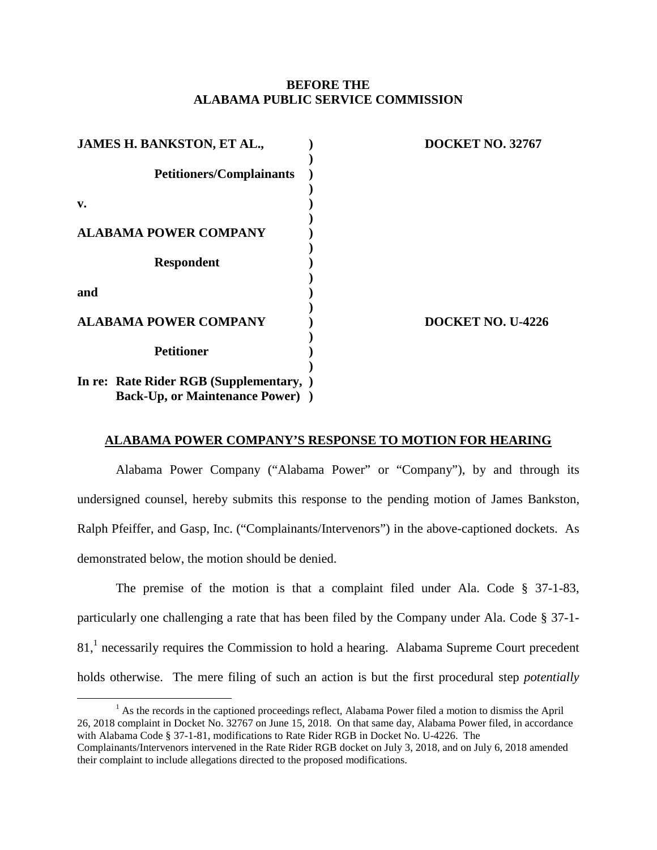## **BEFORE THE ALABAMA PUBLIC SERVICE COMMISSION**

| JAMES H. BANKSTON, ET AL.,               | <b>DOCKET NO. 32767</b> |
|------------------------------------------|-------------------------|
| <b>Petitioners/Complainants</b>          |                         |
| v.                                       |                         |
| <b>ALABAMA POWER COMPANY</b>             |                         |
| <b>Respondent</b>                        |                         |
| and                                      |                         |
| <b>ALABAMA POWER COMPANY</b>             | DOCKET NO. U-4226       |
| <b>Petitioner</b>                        |                         |
| In re: Rate Rider RGB (Supplementary, )  |                         |
| <b>Back-Up, or Maintenance Power</b> ) ) |                         |

## **ALABAMA POWER COMPANY'S RESPONSE TO MOTION FOR HEARING**

Alabama Power Company ("Alabama Power" or "Company"), by and through its undersigned counsel, hereby submits this response to the pending motion of James Bankston, Ralph Pfeiffer, and Gasp, Inc. ("Complainants/Intervenors") in the above-captioned dockets. As demonstrated below, the motion should be denied.

The premise of the motion is that a complaint filed under Ala. Code § 37-1-83, particularly one challenging a rate that has been filed by the Company under Ala. Code § 37-1-  $81<sup>1</sup>$ necessarily requires the Commission to hold a hearing. Alabama Supreme Court precedent holds otherwise. The mere filing of such an action is but the first procedural step *potentially*

<span id="page-1-0"></span> $<sup>1</sup>$  As the records in the captioned proceedings reflect, Alabama Power filed a motion to dismiss the April</sup> 26, 2018 complaint in Docket No. 32767 on June 15, 2018. On that same day, Alabama Power filed, in accordance with Alabama Code § 37-1-81, modifications to Rate Rider RGB in Docket No. U-4226. The Complainants/Intervenors intervened in the Rate Rider RGB docket on July 3, 2018, and on July 6, 2018 amended their complaint to include allegations directed to the proposed modifications.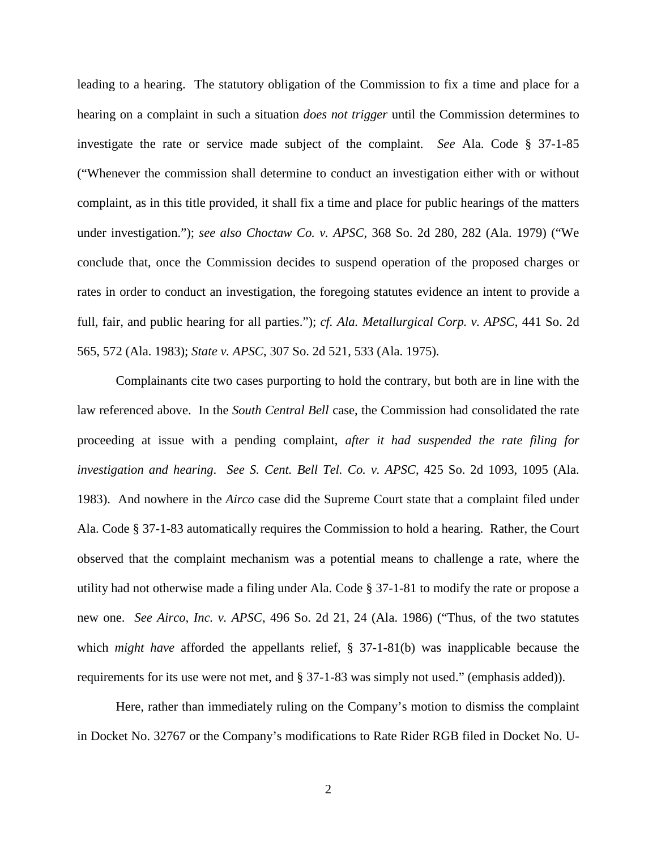leading to a hearing. The statutory obligation of the Commission to fix a time and place for a hearing on a complaint in such a situation *does not trigger* until the Commission determines to investigate the rate or service made subject of the complaint. *See* Ala. Code § 37-1-85 ("Whenever the commission shall determine to conduct an investigation either with or without complaint, as in this title provided, it shall fix a time and place for public hearings of the matters under investigation."); *see also Choctaw Co. v. APSC*, 368 So. 2d 280, 282 (Ala. 1979) ("We conclude that, once the Commission decides to suspend operation of the proposed charges or rates in order to conduct an investigation, the foregoing statutes evidence an intent to provide a full, fair, and public hearing for all parties."); *cf. Ala. Metallurgical Corp. v. APSC*, 441 So. 2d 565, 572 (Ala. 1983); *State v. APSC*, 307 So. 2d 521, 533 (Ala. 1975).

Complainants cite two cases purporting to hold the contrary, but both are in line with the law referenced above. In the *South Central Bell* case, the Commission had consolidated the rate proceeding at issue with a pending complaint, *after it had suspended the rate filing for investigation and hearing*. *See S. Cent. Bell Tel. Co. v. APSC*, 425 So. 2d 1093, 1095 (Ala. 1983). And nowhere in the *Airco* case did the Supreme Court state that a complaint filed under Ala. Code § 37-1-83 automatically requires the Commission to hold a hearing. Rather, the Court observed that the complaint mechanism was a potential means to challenge a rate, where the utility had not otherwise made a filing under Ala. Code § 37-1-81 to modify the rate or propose a new one. *See Airco, Inc. v. APSC*, 496 So. 2d 21, 24 (Ala. 1986) ("Thus, of the two statutes which *might have* afforded the appellants relief, § 37-1-81(b) was inapplicable because the requirements for its use were not met, and § 37-1-83 was simply not used." (emphasis added)).

Here, rather than immediately ruling on the Company's motion to dismiss the complaint in Docket No. 32767 or the Company's modifications to Rate Rider RGB filed in Docket No. U-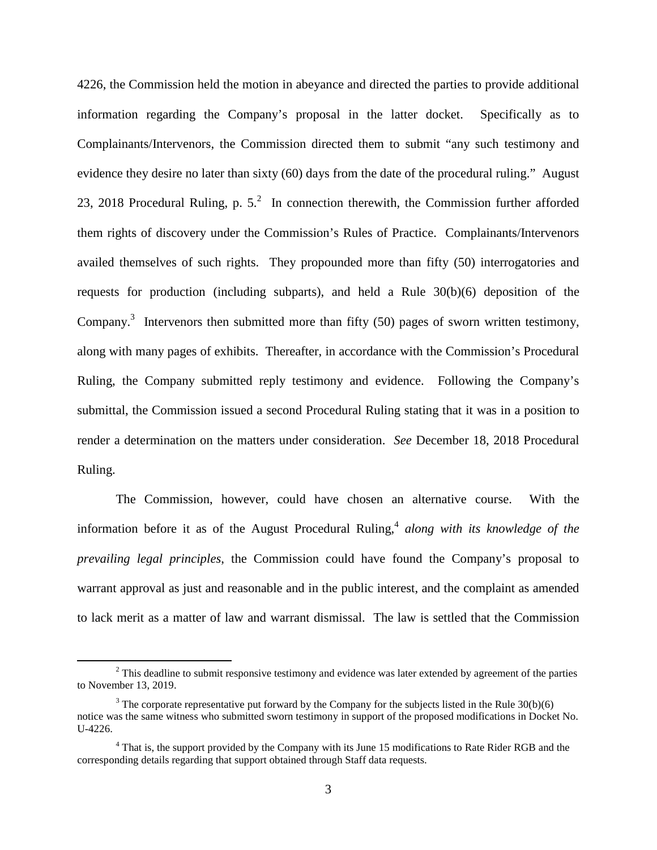4226, the Commission held the motion in abeyance and directed the parties to provide additional information regarding the Company's proposal in the latter docket. Specifically as to Complainants/Intervenors, the Commission directed them to submit "any such testimony and evidence they desire no later than sixty (60) days from the date of the procedural ruling." August 23, 2018 Procedural Ruling, p.  $5<sup>2</sup>$  In connection therewith, the Commission further afforded them rights of discovery under the Commission's Rules of Practice. Complainants/Intervenors availed themselves of such rights. They propounded more than fifty (50) interrogatories and requests for production (including subparts), and held a Rule 30(b)(6) deposition of the Company.<sup>3</sup>Intervenors then submitted more than fifty (50) pages of sworn written testimony, along with many pages of exhibits. Thereafter, in accordance with the Commission's Procedural Ruling, the Company submitted reply testimony and evidence. Following the Company's submittal, the Commission issued a second Procedural Ruling stating that it was in a position to render a determination on the matters under consideration. *See* December 18, 2018 Procedural Ruling.

The Commission, however, could have chosen an alternative course. With the inform[a](#page-3-2)tion before it as of the August Procedural Ruling,<sup>4</sup> along with its knowledge of the *prevailing legal principles*, the Commission could have found the Company's proposal to warrant approval as just and reasonable and in the public interest, and the complaint as amended to lack merit as a matter of law and warrant dismissal. The law is settled that the Commission

<span id="page-3-0"></span> $2$  This deadline to submit responsive testimony and evidence was later extended by agreement of the parties to November 13, 2019.

<span id="page-3-1"></span><sup>&</sup>lt;sup>3</sup> The corporate representative put forward by the Company for the subjects listed in the Rule  $30(b)(6)$ notice was the same witness who submitted sworn testimony in support of the proposed modifications in Docket No. U-4226.

<span id="page-3-2"></span><sup>&</sup>lt;sup>4</sup> That is, the support provided by the Company with its June 15 modifications to Rate Rider RGB and the corresponding details regarding that support obtained through Staff data requests.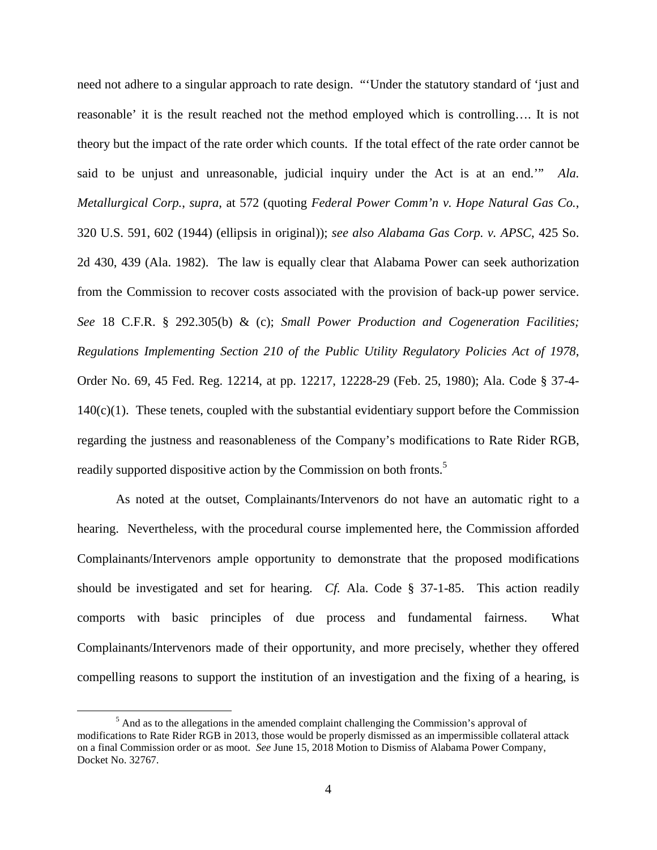need not adhere to a singular approach to rate design. "'Under the statutory standard of 'just and reasonable' it is the result reached not the method employed which is controlling…. It is not theory but the impact of the rate order which counts. If the total effect of the rate order cannot be said to be unjust and unreasonable, judicial inquiry under the Act is at an end.'" *Ala. Metallurgical Corp.*, *supra*, at 572 (quoting *Federal Power Comm'n v. Hope Natural Gas Co.*, 320 U.S. 591, 602 (1944) (ellipsis in original)); *see also Alabama Gas Corp. v. APSC*, 425 So. 2d 430, 439 (Ala. 1982). The law is equally clear that Alabama Power can seek authorization from the Commission to recover costs associated with the provision of back-up power service. *See* 18 C.F.R. § 292.305(b) & (c); *Small Power Production and Cogeneration Facilities; Regulations Implementing Section 210 of the Public Utility Regulatory Policies Act of 1978*, Order No. 69, 45 Fed. Reg. 12214, at pp. 12217, 12228-29 (Feb. 25, 1980); Ala. Code § 37-4-  $140(c)(1)$ . These tenets, coupled with the substantial evidentiary support before the Commission regarding the justness and reasonableness of the Company's modifications to Rate Rider RGB, readily supported dispositive action by the Commission on both fronts.<sup>5</sup>

As noted at the outset, Complainants/Intervenors do not have an automatic right to a hearing. Nevertheless, with the procedural course implemented here, the Commission afforded Complainants/Intervenors ample opportunity to demonstrate that the proposed modifications should be investigated and set for hearing. *Cf.* Ala. Code § 37-1-85. This action readily comports with basic principles of due process and fundamental fairness. What Complainants/Intervenors made of their opportunity, and more precisely, whether they offered compelling reasons to support the institution of an investigation and the fixing of a hearing, is

 $<sup>5</sup>$  And as to the allegations in the amended complaint challenging the Commission's approval of</sup> modifications to Rate Rider RGB in 2013, those would be properly dismissed as an impermissible collateral attack on a final Commission order or as moot. *See* June 15, 2018 Motion to Dismiss of Alabama Power Company, Docket No. 32767.